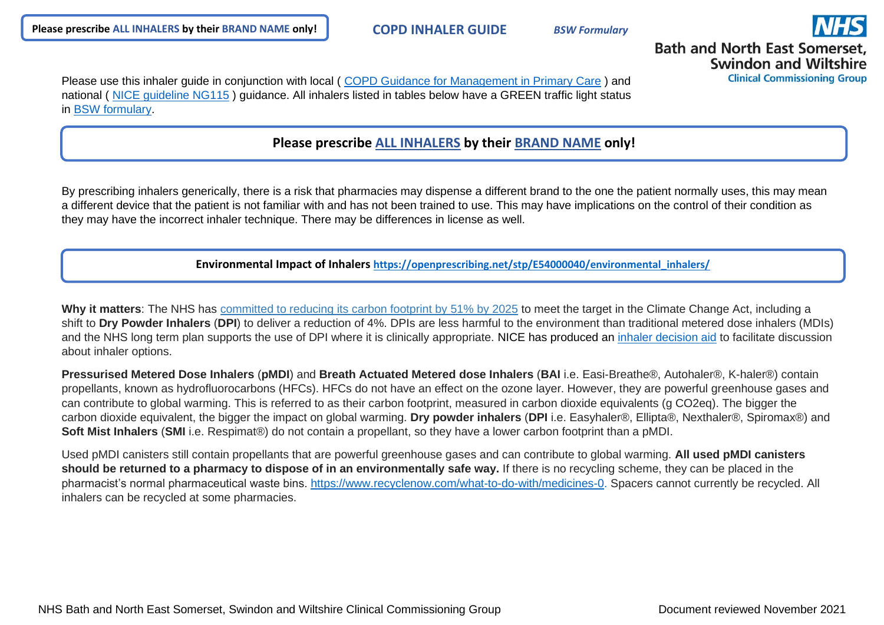

**Bath and North East Somerset. Swindon and Wiltshire** 

**Clinical Commissioning Group** 

Please use this inhaler quide in conjunction with local (COPD Guidance for Management in Primary Care) and national ( [NICE guideline NG115](https://www.nice.org.uk/guidance/ng115) ) guidance. All inhalers listed in tables below have a GREEN traffic light status in [BSW formulary.](http://bswformulary.nhs.uk/chaptersSubDetails.asp?FormularySectionID=3&SubSectionRef=03&SubSectionID=A100&FC=1)

## **Please prescribe ALL INHALERS by their BRAND NAME only!**

By prescribing inhalers generically, there is a risk that pharmacies may dispense a different brand to the one the patient normally uses, this may mean a different device that the patient is not familiar with and has not been trained to use. This may have implications on the control of their condition as they may have the incorrect inhaler technique. There may be differences in license as well.

**Environmental Impact of Inhalers [https://openprescribing.net/stp/E54000040/environmental\\_inhalers/](https://openprescribing.net/stp/E54000040/environmental_inhalers/)**

**Why it matters**: The NHS has [committed to reducing its carbon footprint by 51% by 2025](https://www.longtermplan.nhs.uk/wp-content/uploads/2019/08/nhs-long-term-plan-version-1.2.pdf) to meet the target in the Climate Change Act, including a shift to **Dry Powder Inhalers** (**DPI**) to deliver a reduction of 4%. DPIs are less harmful to the environment than traditional metered dose inhalers (MDIs) and the NHS long term plan supports the use of DPI where it is clinically appropriate. NICE has produced an [inhaler decision aid](https://www.nice.org.uk/guidance/ng80/resources/inhalers-for-asthma-patient-decision-aid-pdf-6727144573) to facilitate discussion about inhaler options.

**Pressurised Metered Dose Inhalers** (**pMDI**) and **Breath Actuated Metered dose Inhalers** (**BAI** i.e. Easi-Breathe®, Autohaler®, K-haler®) contain propellants, known as hydrofluorocarbons (HFCs). HFCs do not have an effect on the ozone layer. However, they are powerful greenhouse gases and can contribute to global warming. This is referred to as their carbon footprint, measured in carbon dioxide equivalents (g CO2eq). The bigger the carbon dioxide equivalent, the bigger the impact on global warming. **Dry powder inhalers** (**DPI** i.e. Easyhaler®, Ellipta®, Nexthaler®, Spiromax®) and **Soft Mist Inhalers** (**SMI** i.e. Respimat®) do not contain a propellant, so they have a lower carbon footprint than a pMDI.

Used pMDI canisters still contain propellants that are powerful greenhouse gases and can contribute to global warming. **All used pMDI canisters should be returned to a pharmacy to dispose of in an environmentally safe way.** If there is no recycling scheme, they can be placed in the pharmacist's normal pharmaceutical waste bins. [https://www.recyclenow.com/what-to-do-with/medicines-0.](https://www.recyclenow.com/what-to-do-with/medicines-0) Spacers cannot currently be recycled. All inhalers can be recycled at some pharmacies.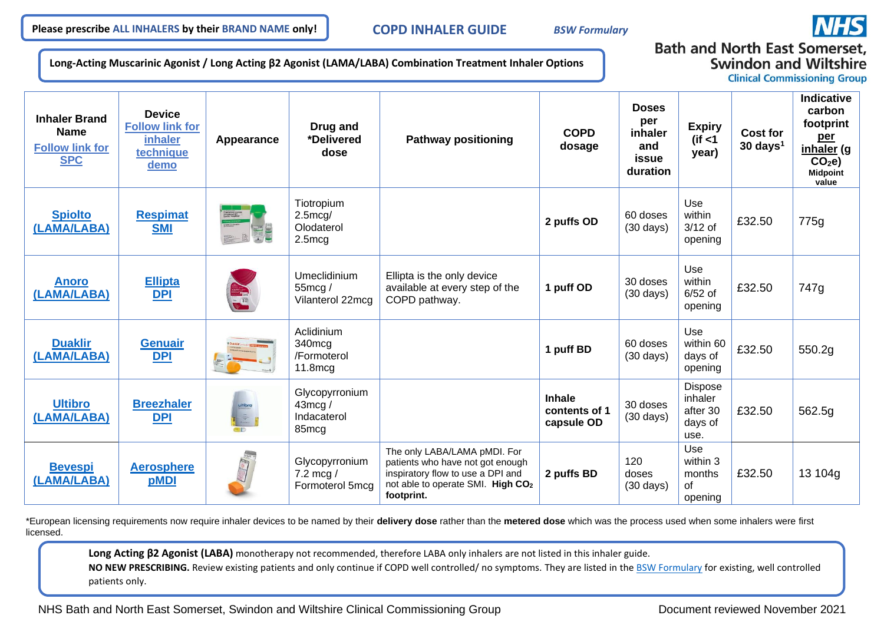

**Long-Acting Muscarinic Agonist / Long Acting β2 Agonist (LAMA/LABA) Combination Treatment Inhaler Options**

## **Bath and North East Somerset. Swindon and Wiltshire**

**Clinical Commissioning Group** 

| <b>Inhaler Brand</b><br><b>Name</b><br><b>Follow link for</b><br><b>SPC</b> | <b>Device</b><br><b>Follow link for</b><br><b>inhaler</b><br>technique<br>demo | Appearance                         | Drug and<br>*Delivered<br>dose                              | <b>Pathway positioning</b>                                                                                                                               | <b>COPD</b><br>dosage                        | <b>Doses</b><br>per<br>inhaler<br>and<br>issue<br>duration | <b>Expiry</b><br>$($ if <1<br>year)                      | <b>Cost for</b><br>$30 \text{ days}^1$ | <b>Indicative</b><br>carbon<br>footprint<br>per<br>inhaler (g<br>CO <sub>2</sub> e<br><b>Midpoint</b><br>value |
|-----------------------------------------------------------------------------|--------------------------------------------------------------------------------|------------------------------------|-------------------------------------------------------------|----------------------------------------------------------------------------------------------------------------------------------------------------------|----------------------------------------------|------------------------------------------------------------|----------------------------------------------------------|----------------------------------------|----------------------------------------------------------------------------------------------------------------|
| <b>Spiolto</b><br>(LAMA/LABA)                                               | <b>Respimat</b><br><b>SMI</b>                                                  | Thorogium imaxis<br>Okulaberal HCL | Tiotropium<br>$2.5 \text{mcg}$<br>Olodaterol<br>$2.5$ mcg   |                                                                                                                                                          | 2 puffs OD                                   | 60 doses<br>$(30 \text{ days})$                            | Use<br>within<br>$3/12$ of<br>opening                    | £32.50                                 | 775g                                                                                                           |
| <b>Anoro</b><br>(LAMA/LABA)                                                 | <b>Ellipta</b><br><b>DPI</b>                                                   |                                    | Umeclidinium<br>$55 \text{mcg}$ /<br>Vilanterol 22mcg       | Ellipta is the only device<br>available at every step of the<br>COPD pathway.                                                                            | 1 puff OD                                    | 30 doses<br>$(30 \text{ days})$                            | Use<br>within<br>$6/52$ of<br>opening                    | £32.50                                 | 747g                                                                                                           |
| <b>Duaklir</b><br>(LAMA/LABA)                                               | <b>Genuair</b><br>DPI                                                          |                                    | Aclidinium<br>340mcg<br>/Formoterol<br>$11.8$ mcg           |                                                                                                                                                          | 1 puff BD                                    | 60 doses<br>$(30 \text{ days})$                            | Use<br>within 60<br>days of<br>opening                   | £32.50                                 | 550.2g                                                                                                         |
| <b>Ultibro</b><br>(LAMA/LABA)                                               | <b>Breezhaler</b><br>DPI                                                       | $\mathbf{x}_i$                     | Glycopyrronium<br>$43 \text{mcg}$ /<br>Indacaterol<br>85mcg |                                                                                                                                                          | <b>Inhale</b><br>contents of 1<br>capsule OD | 30 doses<br>$(30 \text{ days})$                            | <b>Dispose</b><br>inhaler<br>after 30<br>days of<br>use. | £32.50                                 | 562.5g                                                                                                         |
| <b>Bevespi</b><br>(LAMA/LABA)                                               | <b>Aerosphere</b><br>pMDI                                                      |                                    | Glycopyrronium<br>7.2 mcg $/$<br>Formoterol 5mcg            | The only LABA/LAMA pMDI. For<br>patients who have not got enough<br>inspiratory flow to use a DPI and<br>not able to operate SMI. High CO2<br>footprint. | 2 puffs BD                                   | 120<br>doses<br>$(30 \text{ days})$                        | Use<br>within 3<br>months<br>Ωf<br>opening               | £32.50                                 | 13 104g                                                                                                        |

\*European licensing requirements now require inhaler devices to be named by their **delivery dose** rather than the **metered dose** which was the process used when some inhalers were first licensed.

**Long Acting β2 Agonist (LABA)** monotherapy not recommended, therefore LABA only inhalers are not listed in this inhaler guide.

NO NEW PRESCRIBING. Review existing patients and only continue if COPD well controlled/ no symptoms. They are listed in the [BSW Formulary](http://bswformulary.nhs.uk/chaptersSubDetails.asp?FormularySectionID=3&SubSectionRef=03.01.01.01&SubSectionID=C100) for existing, well controlled patients only.

NHS Bath and North East Somerset, Swindon and Wiltshire Clinical Commissioning Group Document reviewed November 2021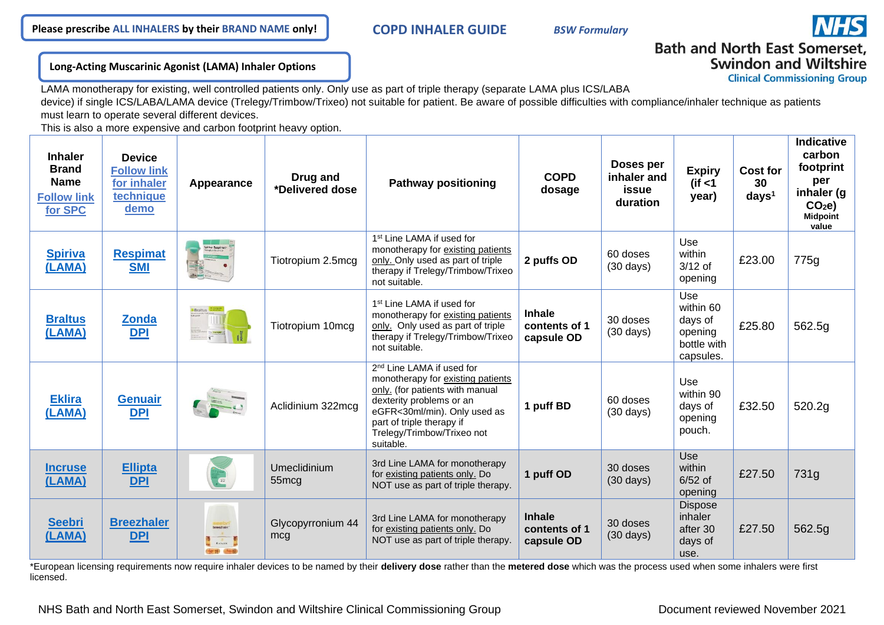### **Long-Acting Muscarinic Agonist (LAMA) Inhaler Options**

**Swindon and Wiltshire Clinical Commissioning Group** 

**Bath and North East Somerset.** 

LAMA monotherapy for existing, well controlled patients only. Only use as part of triple therapy (separate LAMA plus ICS/LABA device) if single ICS/LABA/LAMA device (Trelegy/Trimbow/Trixeo) not suitable for patient. Be aware of possible difficulties with compliance/inhaler technique as patients must learn to operate several different devices.

This is also a more expensive and carbon footprint heavy option.

| <b>Inhaler</b><br><b>Brand</b><br><b>Name</b><br><b>Follow link</b><br>for SPC | <b>Device</b><br><b>Follow link</b><br>for inhaler<br>technique<br>demo | Appearance                                                   | Drug and<br>*Delivered dose       | <b>Pathway positioning</b>                                                                                                                                                                                                                        | <b>COPD</b><br>dosage                        | Doses per<br>inhaler and<br>issue<br>duration | <b>Expiry</b><br>(if $<$ 1<br>year)                                | Cost for<br>30<br>days <sup>1</sup> | <b>Indicative</b><br>carbon<br>footprint<br>per<br>inhaler (g<br>CO <sub>2</sub> e<br><b>Midpoint</b><br>value |
|--------------------------------------------------------------------------------|-------------------------------------------------------------------------|--------------------------------------------------------------|-----------------------------------|---------------------------------------------------------------------------------------------------------------------------------------------------------------------------------------------------------------------------------------------------|----------------------------------------------|-----------------------------------------------|--------------------------------------------------------------------|-------------------------------------|----------------------------------------------------------------------------------------------------------------|
| <b>Spiriva</b><br>(LAMA)                                                       | <b>Respimat</b><br><b>SMI</b>                                           | ipiriwa <sup>,</sup> Respirmat<br><sup>ketop</sup> un bomida | Tiotropium 2.5mcg                 | 1 <sup>st</sup> Line LAMA if used for<br>monotherapy for existing patients<br>only. Only used as part of triple<br>therapy if Trelegy/Trimbow/Trixeo<br>not suitable.                                                                             | 2 puffs OD                                   | 60 doses<br>$(30 \text{ days})$               | Use<br>within<br>$3/12$ of<br>opening                              | £23.00                              | 775g                                                                                                           |
| <b>Braltus</b><br>(LAMA)                                                       | <b>Zonda</b><br><b>DPI</b>                                              | Brattus                                                      | Tiotropium 10mcg                  | 1 <sup>st</sup> Line LAMA if used for<br>monotherapy for existing patients<br>only. Only used as part of triple<br>therapy if Trelegy/Trimbow/Trixeo<br>not suitable.                                                                             | <b>Inhale</b><br>contents of 1<br>capsule OD | 30 doses<br>$(30 \text{ days})$               | Use<br>within 60<br>days of<br>opening<br>bottle with<br>capsules. | £25.80                              | 562.5g                                                                                                         |
| <b>Eklira</b><br>(LAMA)                                                        | <b>Genuair</b><br><b>DPI</b>                                            |                                                              | Aclidinium 322mcg                 | 2 <sup>nd</sup> Line LAMA if used for<br>monotherapy for existing patients<br>only. (for patients with manual<br>dexterity problems or an<br>eGFR<30ml/min). Only used as<br>part of triple therapy if<br>Trelegy/Trimbow/Trixeo not<br>suitable. | 1 puff BD                                    | 60 doses<br>$(30 \text{ days})$               | Use<br>within 90<br>days of<br>opening<br>pouch.                   | £32.50                              | 520.2g                                                                                                         |
| <b>Incruse</b><br>(LAMA)                                                       | <b>Ellipta</b><br><b>DPI</b>                                            |                                                              | Umeclidinium<br>55 <sub>mcg</sub> | 3rd Line LAMA for monotherapy<br>for existing patients only. Do<br>NOT use as part of triple therapy.                                                                                                                                             | 1 puff OD                                    | 30 doses<br>$(30 \text{ days})$               | Use<br>within<br>$6/52$ of<br>opening                              | £27.50                              | 731g                                                                                                           |
| <b>Seebri</b><br>(LAMA)                                                        | <b>Breezhaler</b><br><b>DPI</b>                                         | breezhalen<br>$-2.50$ $-4$                                   | Glycopyrronium 44<br>mcg          | 3rd Line LAMA for monotherapy<br>for existing patients only. Do<br>NOT use as part of triple therapy.                                                                                                                                             | <b>Inhale</b><br>contents of 1<br>capsule OD | 30 doses<br>$(30 \text{ days})$               | <b>Dispose</b><br>inhaler<br>after 30<br>days of<br>use.           | £27.50                              | 562.5g                                                                                                         |

\*European licensing requirements now require inhaler devices to be named by their **delivery dose** rather than the **metered dose** which was the process used when some inhalers were first licensed.

NHS Bath and North East Somerset, Swindon and Wiltshire Clinical Commissioning Group Document reviewed November 2021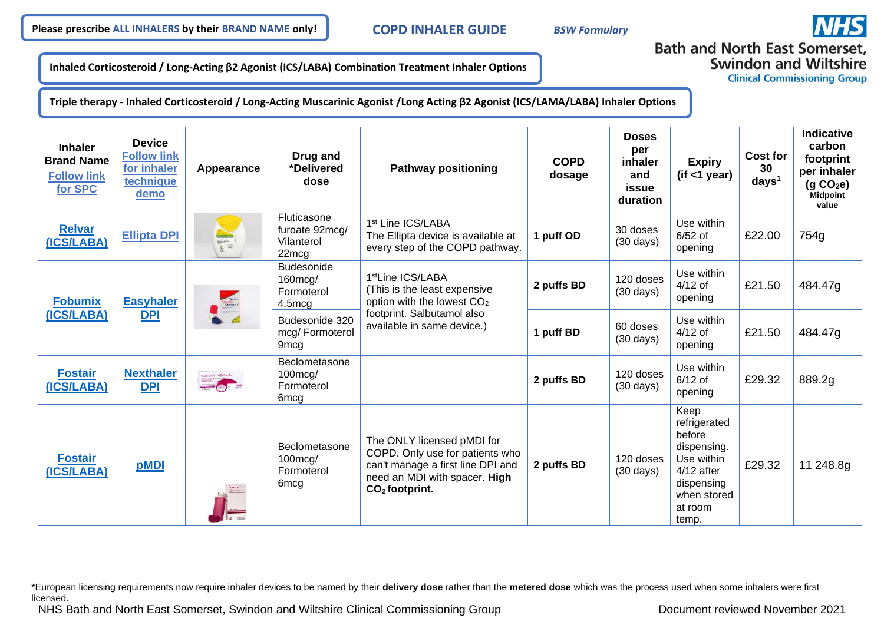

**Inhaled Corticosteroid / Long-Acting β2 Agonist (ICS/LABA) Combination Treatment Inhaler Options**

**Bath and North East Somerset, Swindon and Wiltshire** 

**Clinical Commissioning Group** 

**Triple therapy - Inhaled Corticosteroid / Long-Acting Muscarinic Agonist /Long Acting β2 Agonist (ICS/LAMA/LABA) Inhaler Options**

| <b>Inhaler</b><br><b>Brand Name</b><br><b>Follow link</b><br>for SPC | <b>Device</b><br><b>Follow link</b><br>for inhaler<br>technique<br>demo | Appearance                   | Drug and<br>*Delivered<br>dose                                      | <b>Pathway positioning</b>                                                                                                                              | <b>COPD</b><br>dosage | <b>Doses</b><br>per<br>inhaler<br>and<br>issue<br>duration | <b>Expiry</b><br>(if < 1 year)                                                                                               | <b>Cost for</b><br>30<br>days <sup>1</sup> | <b>Indicative</b><br>carbon<br>footprint<br>per inhaler<br>(q CO <sub>2</sub> e)<br><b>Midpoint</b><br>value |
|----------------------------------------------------------------------|-------------------------------------------------------------------------|------------------------------|---------------------------------------------------------------------|---------------------------------------------------------------------------------------------------------------------------------------------------------|-----------------------|------------------------------------------------------------|------------------------------------------------------------------------------------------------------------------------------|--------------------------------------------|--------------------------------------------------------------------------------------------------------------|
| <b>Relvar</b><br>(ICS/LABA)                                          | <b>Ellipta DPI</b>                                                      | 2 30                         | <b>Fluticasone</b><br>furoate 92mcg/<br>Vilanterol<br>22mcg         | 1 <sup>st</sup> Line ICS/LABA<br>The Ellipta device is available at<br>every step of the COPD pathway.                                                  | 1 puff OD             | 30 doses<br>$(30 \text{ days})$                            | Use within<br>$6/52$ of<br>opening                                                                                           | £22.00                                     | 754g                                                                                                         |
| <b>Fobumix</b><br>(ICS/LABA)                                         | <b>Easyhaler</b><br>DPI                                                 | February<br>Espinaler        | <b>Budesonide</b><br>160mcg/<br>Formoterol<br>4.5mcg                | 1 <sup>st</sup> Line ICS/LABA<br>(This is the least expensive<br>option with the lowest CO <sub>2</sub>                                                 | 2 puffs BD            | 120 doses<br>$(30 \text{ days})$                           | Use within<br>$4/12$ of<br>opening                                                                                           | £21.50                                     | 484.47g                                                                                                      |
|                                                                      |                                                                         |                              | Budesonide 320<br>mcg/Formoterol<br>9 <sub>mcg</sub>                | footprint. Salbutamol also<br>available in same device.)                                                                                                | 1 puff BD             | 60 doses<br>$(30 \text{ days})$                            | Use within<br>$4/12$ of<br>opening                                                                                           | £21.50                                     | 484.47g                                                                                                      |
| <b>Fostair</b><br>(ICS/LABA)                                         | <b>Nexthaler</b><br>DPI                                                 | FOSTAIR NEXTholer<br>$= 0 =$ | Beclometasone<br>$100 \text{mcg}$<br>Formoterol<br>6 <sub>mcg</sub> |                                                                                                                                                         | 2 puffs BD            | 120 doses<br>$(30 \text{ days})$                           | Use within<br>$6/12$ of<br>opening                                                                                           | £29.32                                     | 889.2g                                                                                                       |
| <b>Fostair</b><br>(ICS/LABA)                                         | pMDI                                                                    |                              | Beclometasone<br>$100 \text{mcg}$<br>Formoterol<br>6 <sub>mcg</sub> | The ONLY licensed pMDI for<br>COPD. Only use for patients who<br>can't manage a first line DPI and<br>need an MDI with spacer. High<br>$CO2$ footprint. | 2 puffs BD            | 120 doses<br>$(30 \text{ days})$                           | Keep<br>refrigerated<br>before<br>dispensing.<br>Use within<br>$4/12$ after<br>dispensing<br>when stored<br>at room<br>temp. | £29.32                                     | 11 248.8g                                                                                                    |

\*European licensing requirements now require inhaler devices to be named by their **delivery dose** rather than the **metered dose** which was the process used when some inhalers were first licensed.

NHS Bath and North East Somerset, Swindon and Wiltshire Clinical Commissioning Group Document reviewed November 2021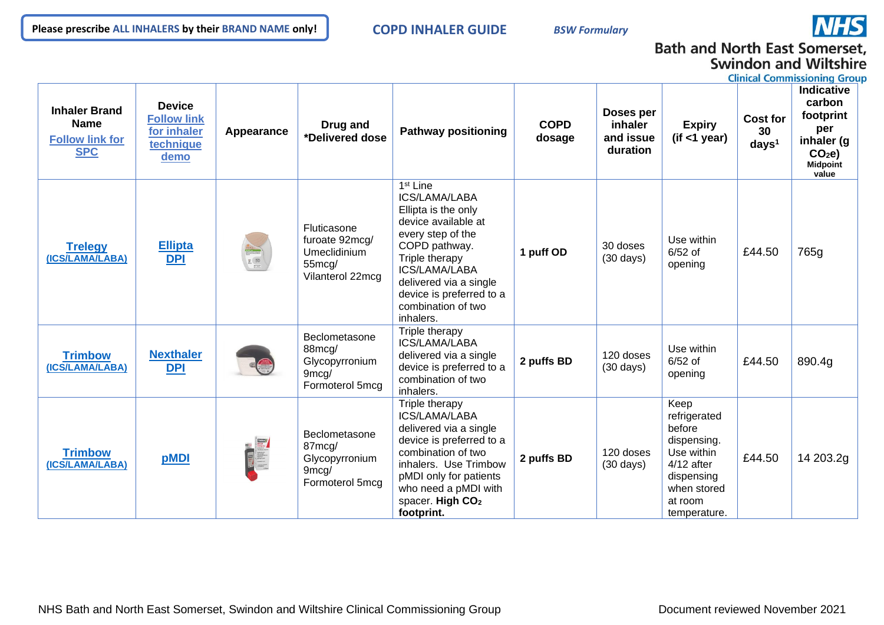

# **Bath and North East Somerset, Swindon and Wiltshire**

**Clinical Commissioning Group** 

| <b>Inhaler Brand</b><br><b>Name</b><br><b>Follow link for</b><br><b>SPC</b> | <b>Device</b><br><b>Follow link</b><br>for inhaler<br>technique<br>demo | Appearance                                                         | Drug and<br>*Delivered dose                                                 | <b>Pathway positioning</b>                                                                                                                                                                                                                            | <b>COPD</b><br>dosage | Doses per<br><b>inhaler</b><br>and issue<br>duration | <b>Expiry</b><br>(if < 1 year)                                                                                                      | <b>Cost for</b><br>30<br>days <sup>1</sup> | <b>Indicative</b><br>carbon<br>footprint<br>per<br>inhaler (g<br>CO <sub>2</sub> e<br>Midpoint<br>value |
|-----------------------------------------------------------------------------|-------------------------------------------------------------------------|--------------------------------------------------------------------|-----------------------------------------------------------------------------|-------------------------------------------------------------------------------------------------------------------------------------------------------------------------------------------------------------------------------------------------------|-----------------------|------------------------------------------------------|-------------------------------------------------------------------------------------------------------------------------------------|--------------------------------------------|---------------------------------------------------------------------------------------------------------|
| <b>Trelegy</b><br>(ICS/LAMA/LABA)                                           | <b>Ellipta</b><br>DPI                                                   | $\begin{array}{c} 2 \overline{30} \\ 2 \overline{)10} \end{array}$ | Fluticasone<br>furoate 92mcg/<br>Umeclidinium<br>55mcg/<br>Vilanterol 22mcg | 1 <sup>st</sup> Line<br>ICS/LAMA/LABA<br>Ellipta is the only<br>device available at<br>every step of the<br>COPD pathway.<br>Triple therapy<br>ICS/LAMA/LABA<br>delivered via a single<br>device is preferred to a<br>combination of two<br>inhalers. | 1 puff OD             | 30 doses<br>$(30 \text{ days})$                      | Use within<br>$6/52$ of<br>opening                                                                                                  | £44.50                                     | 765g                                                                                                    |
| <b>Trimbow</b><br>(ICS/LAMA/LABA)                                           | <b>Nexthaler</b><br><b>DPI</b>                                          |                                                                    | Beclometasone<br>88mcg/<br>Glycopyrronium<br>9mcg/<br>Formoterol 5mcg       | Triple therapy<br>ICS/LAMA/LABA<br>delivered via a single<br>device is preferred to a<br>combination of two<br>inhalers.                                                                                                                              | 2 puffs BD            | 120 doses<br>$(30 \text{ days})$                     | Use within<br>$6/52$ of<br>opening                                                                                                  | £44.50                                     | 890.4g                                                                                                  |
| <b>Trimbow</b><br>(ICS/LAMA/LABA)                                           | pMDI                                                                    | THE STREET                                                         | Beclometasone<br>87mcg/<br>Glycopyrronium<br>9mcg/<br>Formoterol 5mcg       | Triple therapy<br>ICS/LAMA/LABA<br>delivered via a single<br>device is preferred to a<br>combination of two<br>inhalers. Use Trimbow<br>pMDI only for patients<br>who need a pMDI with<br>spacer. High CO <sub>2</sub><br>footprint.                  | 2 puffs BD            | 120 doses<br>$(30 \text{ days})$                     | Keep<br>refrigerated<br>before<br>dispensing.<br>Use within<br>$4/12$ after<br>dispensing<br>when stored<br>at room<br>temperature. | £44.50                                     | 14 203.2g                                                                                               |